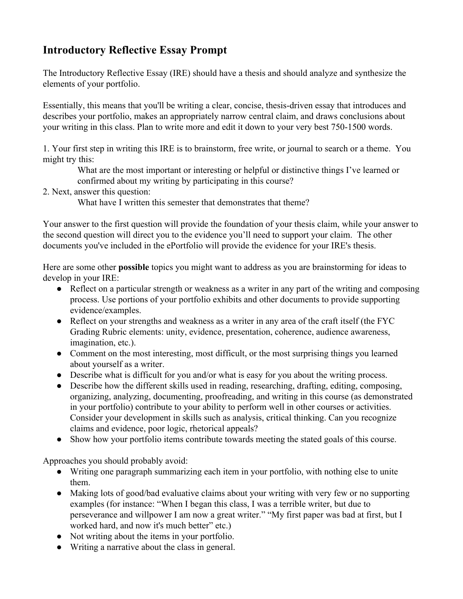## **Introductory Reflective Essay Prompt**

The Introductory Reflective Essay (IRE) should have a thesis and should analyze and synthesize the elements of your portfolio.

Essentially, this means that you'll be writing a clear, concise, thesis-driven essay that introduces and describes your portfolio, makes an appropriately narrow central claim, and draws conclusions about your writing in this class. Plan to write more and edit it down to your very best 750-1500 words.

1. Your first step in writing this IRE is to brainstorm, free write, or journal to search or a theme. You might try this:

What are the most important or interesting or helpful or distinctive things I've learned or confirmed about my writing by participating in this course?

2. Next, answer this question:

What have I written this semester that demonstrates that theme?

Your answer to the first question will provide the foundation of your thesis claim, while your answer to the second question will direct you to the evidence you'll need to support your claim. The other documents you've included in the ePortfolio will provide the evidence for your IRE's thesis.

Here are some other **possible** topics you might want to address as you are brainstorming for ideas to develop in your IRE:

- Reflect on a particular strength or weakness as a writer in any part of the writing and composing process. Use portions of your portfolio exhibits and other documents to provide supporting evidence/examples.
- Reflect on your strengths and weakness as a writer in any area of the craft itself (the FYC) Grading Rubric elements: unity, evidence, presentation, coherence, audience awareness, imagination, etc.).
- Comment on the most interesting, most difficult, or the most surprising things you learned about yourself as a writer.
- Describe what is difficult for you and/or what is easy for you about the writing process.
- Describe how the different skills used in reading, researching, drafting, editing, composing, organizing, analyzing, documenting, proofreading, and writing in this course (as demonstrated in your portfolio) contribute to your ability to perform well in other courses or activities. Consider your development in skills such as analysis, critical thinking. Can you recognize claims and evidence, poor logic, rhetorical appeals?
- Show how your portfolio items contribute towards meeting the stated goals of this course.

Approaches you should probably avoid:

- Writing one paragraph summarizing each item in your portfolio, with nothing else to unite them.
- Making lots of good/bad evaluative claims about your writing with very few or no supporting examples (for instance: "When I began this class, I was a terrible writer, but due to perseverance and willpower I am now a great writer." "My first paper was bad at first, but I worked hard, and now it's much better" etc.)
- Not writing about the items in your portfolio.
- Writing a narrative about the class in general.